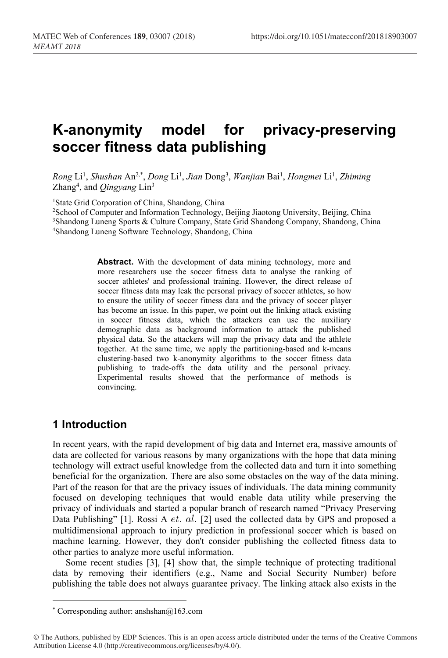# **K-anonymity model for privacy-preserving soccer fitness data publishing**

*Rong* Li 1 , *Shushan* An2,\* , *Dong* Li 1 , *Jian* Dong3 , *Wanjian* Bai 1 , *Hongmei* Li 1 , *Zhiming* Zhang<sup>4</sup>, and *Qingyang* Lin<sup>3</sup>

<sup>1</sup>State Grid Corporation of China, Shandong, China

2School of Computer and Information Technology, Beijing Jiaotong University, Beijing, China 3Shandong Luneng Sports & Culture Company, State Grid Shandong Company, Shandong, China 4Shandong Luneng Software Technology, Shandong, China

> **Abstract.** With the development of data mining technology, more and more researchers use the soccer fitness data to analyse the ranking of soccer athletes' and professional training. However, the direct release of soccer fitness data may leak the personal privacy of soccer athletes, so how to ensure the utility of soccer fitness data and the privacy of soccer player has become an issue. In this paper, we point out the linking attack existing in soccer fitness data, which the attackers can use the auxiliary demographic data as background information to attack the published physical data. So the attackers will map the privacy data and the athlete together. At the same time, we apply the partitioning-based and k-means clustering-based two k-anonymity algorithms to the soccer fitness data publishing to trade-offs the data utility and the personal privacy. Experimental results showed that the performance of methods is convincing.

# **1 Introduction**

In recent years, with the rapid development of big data and Internet era, massive amounts of data are collected for various reasons by many organizations with the hope that data mining technology will extract useful knowledge from the collected data and turn it into something beneficial for the organization. There are also some obstacles on the way of the data mining. Part of the reason for that are the privacy issues of individuals. The data mining community focused on developing techniques that would enable data utility while preserving the privacy of individuals and started a popular branch of research named "Privacy Preserving Data Publishing" [1]. Rossi A  $et.$   $al.$  [2] used the collected data by GPS and proposed a multidimensional approach to injury prediction in professional soccer which is based on machine learning. However, they don't consider publishing the collected fitness data to other parties to analyze more useful information.

Some recent studies [3], [4] show that, the simple technique of protecting traditional data by removing their identifiers (e.g., Name and Social Security Number) before publishing the table does not always guarantee privacy. The linking attack also exists in the

<sup>\*</sup> Corresponding author: anshshan $@163$ .com

<sup>©</sup> The Authors, published by EDP Sciences. This is an open access article distributed under the terms of the Creative Commons Attribution License 4.0 (http://creativecommons.org/licenses/by/4.0/).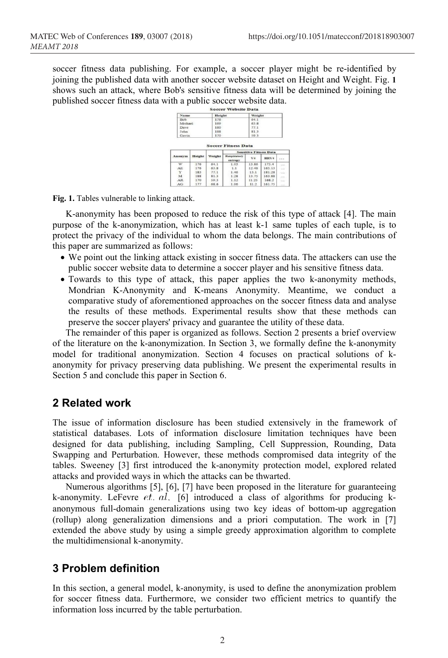soccer fitness data publishing. For example, a soccer player might be re-identified by joining the published data with another soccer website dataset on Height and Weight. Fig. **1** shows such an attack, where Bob's sensitive fitness data will be determined by joining the published soccer fitness data with a public soccer website data.



**Fig. 1.** Tables vulnerable to linking attack.

K-anonymity has been proposed to reduce the risk of this type of attack [4]. The main purpose of the k-anonymization, which has at least k-1 same tuples of each tuple, is to protect the privacy of the individual to whom the data belongs. The main contributions of this paper are summarized as follows:

- We point out the linking attack existing in soccer fitness data. The attackers can use the public soccer website data to determine a soccer player and his sensitive fitness data.
- Towards to this type of attack, this paper applies the two k-anonymity methods, Mondrian K-Anonymity and K-means Anonymity. Meantime, we conduct a comparative study of aforementioned approaches on the soccer fitness data and analyse the results of these methods. Experimental results show that these methods can preserve the soccer players' privacy and guarantee the utility of these data.

The remainder of this paper is organized as follows. Section 2 presents a brief overview of the literature on the k-anonymization. In Section 3, we formally define the k-anonymity model for traditional anonymization. Section 4 focuses on practical solutions of kanonymity for privacy preserving data publishing. We present the experimental results in Section 5 and conclude this paper in Section 6.

## **2 Related work**

The issue of information disclosure has been studied extensively in the framework of statistical databases. Lots of information disclosure limitation techniques have been designed for data publishing, including Sampling, Cell Suppression, Rounding, Data Swapping and Perturbation. However, these methods compromised data integrity of the tables. Sweeney [3] first introduced the k-anonymity protection model, explored related attacks and provided ways in which the attacks can be thwarted.

Numerous algorithms [5], [6], [7] have been proposed in the literature for guaranteeing k-anonymity. LeFevre  $et.$   $al.$  [6] introduced a class of algorithms for producing kanonymous full-domain generalizations using two key ideas of bottom-up aggregation (rollup) along generalization dimensions and a priori computation. The work in [7] extended the above study by using a simple greedy approximation algorithm to complete the multidimensional k-anonymity.

# **3 Problem definition**

In this section, a general model, k-anonymity, is used to define the anonymization problem for soccer fitness data. Furthermore, we consider two efficient metrics to quantify the information loss incurred by the table perturbation.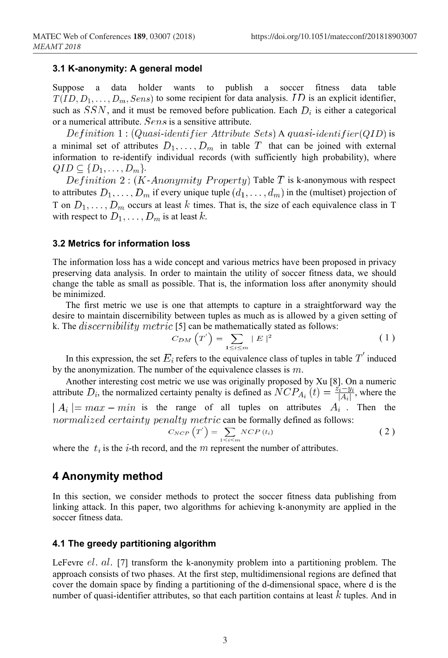#### **3.1 K-anonymity: A general model**

Suppose a data holder wants to publish a soccer fitness data table  $T(ID, D_1, \ldots, D_m, Sens)$  to some recipient for data analysis. ID is an explicit identifier, such as  $SSN$ , and it must be removed before publication. Each  $D_i$  is either a categorical or a numerical attribute.  $Sens$  is a sensitive attribute.

Definition 1:  $(Quasi-identityier Attribute Sets)$  A quasi-identifier  $(QID)$  is a minimal set of attributes  $D_1, \ldots, D_m$  in table T that can be joined with external information to re-identify individual records (with sufficiently high probability), where  $QID \subseteq \{D_1, \ldots, D_m\}.$ 

Definition 2: (K-Anonymity Property) Table T is k-anonymous with respect to attributes  $D_1, \ldots, D_m$  if every unique tuple  $(d_1, \ldots, d_m)$  in the (multiset) projection of T on  $D_1, \ldots, D_m$  occurs at least k times. That is, the size of each equivalence class in T with respect to  $D_1, \ldots, D_m$  is at least k.

#### **3.2 Metrics for information loss**

The information loss has a wide concept and various metrics have been proposed in privacy preserving data analysis. In order to maintain the utility of soccer fitness data, we should change the table as small as possible. That is, the information loss after anonymity should be minimized.

The first metric we use is one that attempts to capture in a straightforward way the desire to maintain discernibility between tuples as much as is allowed by a given setting of k. The  $discentibility metric$  [5] can be mathematically stated as follows:

$$
C_{DM}\left(T'\right) = \sum_{1 \le i \le m} |E|^2 \tag{1}
$$

In this expression, the set  $E_i$  refers to the equivalence class of tuples in table  $T'$  induced by the anonymization. The number of the equivalence classes is  $m$ .

Another interesting cost metric we use was originally proposed by Xu [8]. On a numeric attribute  $D_i$ , the normalized certainty penalty is defined as  $NCP_{A_i}(t) = \frac{z_i - y_i}{|A_i|}$ , where the  $\mid A_i \mid = max - min$  is the range of all tuples on attributes  $A_i$ . Then the normalized certainty penalty metric can be formally defined as follows:

$$
C_{NCP}\left(T'\right) = \sum_{1 \le i \le m} NCP\left(t_i\right) \tag{2}
$$

where the  $t_i$  is the *i*-th record, and the *m* represent the number of attributes.

### **4 Anonymity method**

In this section, we consider methods to protect the soccer fitness data publishing from linking attack. In this paper, two algorithms for achieving k-anonymity are applied in the soccer fitness data.

#### **4.1 The greedy partitioning algorithm**

LeFevre  $el.$   $al.$  [7] transform the k-anonymity problem into a partitioning problem. The approach consists of two phases. At the first step, multidimensional regions are defined that cover the domain space by finding a partitioning of the d-dimensional space, where d is the number of quasi-identifier attributes, so that each partition contains at least  $k$  tuples. And in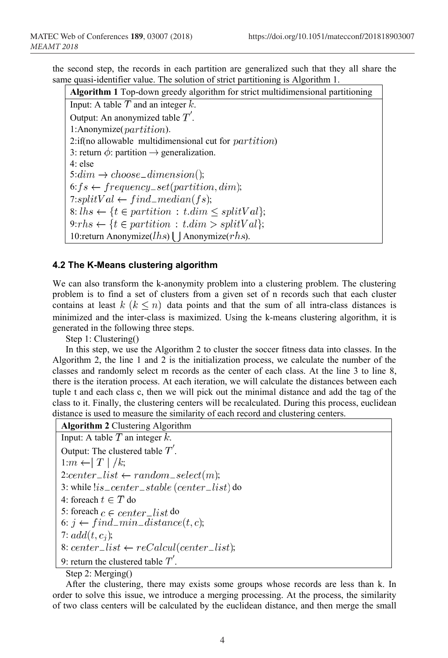the second step, the records in each partition are generalized such that they all share the same quasi-identifier value. The solution of strict partitioning is Algorithm 1.

**Algorithm 1** Top-down greedy algorithm for strict multidimensional partitioning Input: A table  $T$  and an integer  $k$ . Output: An anonymized table  $T'$ .  $1:$ Anonymize( $partition$ ).  $2$ :if(no allowable multidimensional cut for  $partition$ ) 3: return  $\phi$ : partition  $\rightarrow$  generalization. 4: else  $5: dim \rightarrow choose\_dimension();$  $6: fs \leftarrow frequency\_set(partition, dim);$ 7:splitVal  $\leftarrow find\_median(fs)$ ; 8: ;  $9: rhs \leftarrow \{t \in partition : t.dim > splitVal\};$ 10:return Anonymize( $lhs$ ) | Anonymize( $rhs$ ).

#### **4.2 The K-Means clustering algorithm**

We can also transform the k-anonymity problem into a clustering problem. The clustering problem is to find a set of clusters from a given set of n records such that each cluster contains at least  $k$   $(k \leq n)$  data points and that the sum of all intra-class distances is minimized and the inter-class is maximized. Using the k-means clustering algorithm, it is generated in the following three steps.

Step 1: Clustering()

In this step, we use the Algorithm 2 to cluster the soccer fitness data into classes. In the Algorithm 2, the line 1 and 2 is the initialization process, we calculate the number of the classes and randomly select m records as the center of each class. At the line 3 to line 8, there is the iteration process. At each iteration, we will calculate the distances between each tuple t and each class c, then we will pick out the minimal distance and add the tag of the class to it. Finally, the clustering centers will be recalculated. During this process, euclidean distance is used to measure the similarity of each record and clustering centers.

Step 2: Merging()

After the clustering, there may exists some groups whose records are less than k. In order to solve this issue, we introduce a merging processing. At the process, the similarity of two class centers will be calculated by the euclidean distance, and then merge the small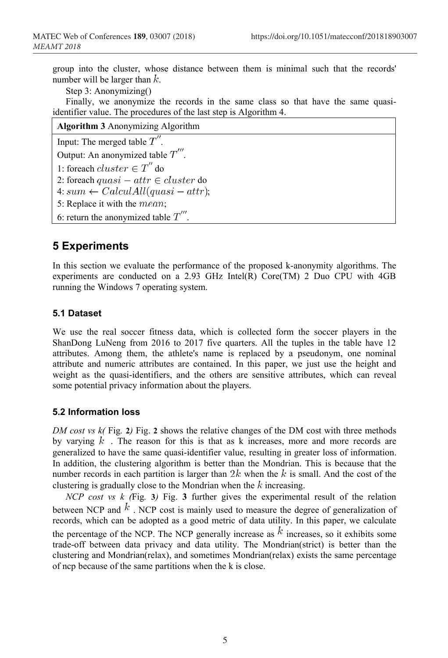group into the cluster, whose distance between them is minimal such that the records' number will be larger than  $k$ .

Step 3: Anonymizing()

Finally, we anonymize the records in the same class so that have the same quasiidentifier value. The procedures of the last step is Algorithm 4.

| <b>Algorithm 3</b> Anonymizing Algorithm |  |
|------------------------------------------|--|
|                                          |  |

Input: The merged table  $T''$ .

Output: An anonymized table  $T'''$ .

1: foreach  $cluster \in T''$  do

2: foreach  $quasi - attr \in cluster$  do

- 4:  $sum \leftarrow CalculAll(quasi attr);$
- 5: Replace it with the  $mean$ ;

6: return the anonymized table  $T'''$ .

# **5 Experiments**

In this section we evaluate the performance of the proposed k-anonymity algorithms. The experiments are conducted on a 2.93 GHz Intel(R) Core(TM) 2 Duo CPU with 4GB running the Windows 7 operating system.

#### **5.1 Dataset**

We use the real soccer fitness data, which is collected form the soccer players in the ShanDong LuNeng from 2016 to 2017 five quarters. All the tuples in the table have 12 attributes. Among them, the athlete's name is replaced by a pseudonym, one nominal attribute and numeric attributes are contained. In this paper, we just use the height and weight as the quasi-identifiers, and the others are sensitive attributes, which can reveal some potential privacy information about the players.

#### **5.2 Information loss**

*DM cost vs k(* Fig*.* **2***)* Fig. **2** shows the relative changes of the DM cost with three methods by varying  $k$ . The reason for this is that as k increases, more and more records are generalized to have the same quasi-identifier value, resulting in greater loss of information. In addition, the clustering algorithm is better than the Mondrian. This is because that the number records in each partition is larger than  $2k$  when the k is small. And the cost of the clustering is gradually close to the Mondrian when the  $k$  increasing.

*NCP* cost *vs*  $k$  (Fig. 3) Fig. 3 further gives the experimental result of the relation between NCP and  $k$ . NCP cost is mainly used to measure the degree of generalization of records, which can be adopted as a good metric of data utility. In this paper, we calculate the percentage of the NCP. The NCP generally increase as  $k$  increases, so it exhibits some trade-off between data privacy and data utility. The Mondrian(strict) is better than the clustering and Mondrian(relax), and sometimes Mondrian(relax) exists the same percentage of ncp because of the same partitions when the k is close.